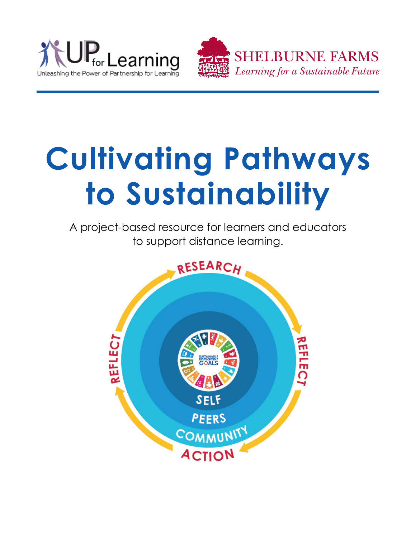



# **Cultivating Pathways to Sustainability**

A project-based resource for learners and educators to support distance learning.

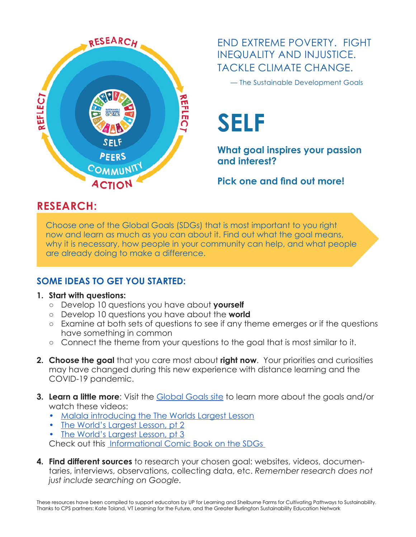

END EXTREME POVERTY. FIGHT INEQUALITY AND INJUSTICE. TACKLE CLIMATE CHANGE.

— The Sustainable Development Goals

**SELF**

**What goal inspires your passion and interest?** 

**Pick one and find out more!**

## **RESEARCH:**

Choose one of the Global Goals (SDGs) that is most important to you right now and learn as much as you can about it. Find out what the goal means, why it is necessary, how people in your community can help, and what people are already doing to make a difference.

## **SOME IDEAS TO GET YOU STARTED:**

#### **1. Start with questions:**

- ○ Develop 10 questions you have about **yourself**
- ○ Develop 10 questions you have about the **world**
- Examine at both sets of questions to see if any theme emerges or if the questions have something in common
- Connect the theme from your questions to the goal that is most similar to it.
- **2. Choose the goal** that you care most about **right now**. Your priorities and curiosities may have changed during this new experience with distance learning and the COVID-19 pandemic.
- **3. Learn a little more**: Visit the [Global Goals site](https://www.globalgoals.org/) to learn more about the goals and/or watch these videos:
	- [Malala introducing the The Worlds Largest Lesson](https://vimeo.com/138852758)
	- [The World's Largest Lesson, pt 2](https://vimeo.com/178464378)
	- The World's Largest Lesson, pt 3 Check out this [Informational Comic Book on the SDGs](http://sdgtoolkit.org/tool/sdgs-for-kids/)
- **4. Find different sources** to research your chosen goal: websites, videos, documentaries, interviews, observations, collecting data, etc. *Remember research does not just include searching on Google.*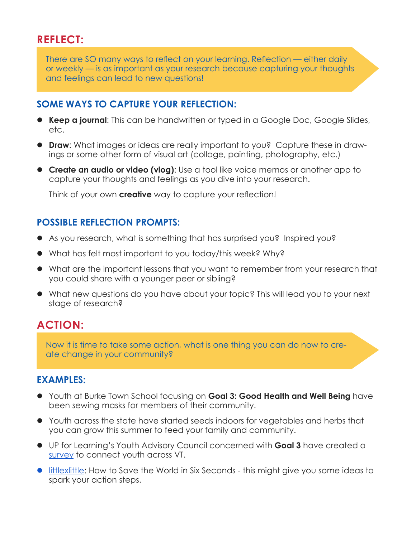There are SO many ways to reflect on your learning. Reflection — either daily or weekly — is as important as your research because capturing your thoughts and feelings can lead to new questions!

#### **SOME WAYS TO CAPTURE YOUR REFLECTION:**

- **Keep a journal:** This can be handwritten or typed in a Google Doc, Google Slides, etc.
- **Draw**: What images or ideas are really important to you? Capture these in drawings or some other form of visual art (collage, painting, photography, etc.)
- **Create an audio or video (vlog)**: Use a tool like voice memos or another app to capture your thoughts and feelings as you dive into your research.

Think of your own **creative** way to capture your reflection!

## **POSSIBLE REFLECTION PROMPTS:**

- As you research, what is something that has surprised you? Inspired you?
- What has felt most important to you today/this week? Why?
- What are the important lessons that you want to remember from your research that you could share with a younger peer or sibling?
- What new questions do you have about your topic? This will lead you to your next stage of research?

## **ACTION:**

Now it is time to take some action, what is one thing you can do now to create change in your community?

## **EXAMPLES:**

- **•** Youth at Burke Town School focusing on **Goal 3: Good Health and Well Being** have been sewing masks for members of their community.
- Youth across the state have started seeds indoors for vegetables and herbs that you can grow this summer to feed your family and community.
- z UP for Learning's Youth Advisory Council concerned with **Goal 3** have created a [survey](https://forms.gle/1crqMgoJd3eavX6s6) to connect youth across VT.
- **[littlexlittle](https://www.youtube.com/channel/UCOaqv3KssAlhCTvGlBRS8ng):** How to Save the World in Six Seconds this might give you some ideas to spark your action steps.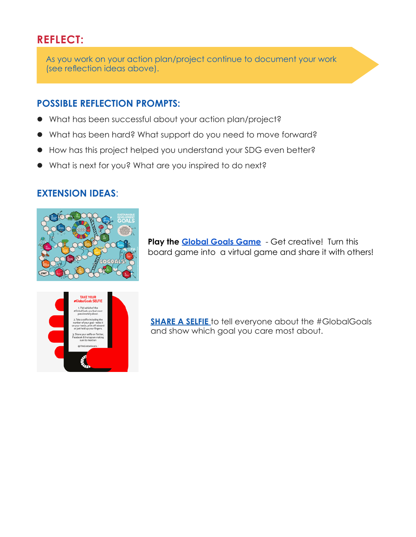As you work on your action plan/project continue to document your work (see reflection ideas above).

## **POSSIBLE REFLECTION PROMPTS:**

- What has been successful about your action plan/project?
- What has been hard? What support do you need to move forward?
- $\bullet$  How has this project helped you understand your SDG even better?
- What is next for you? What are you inspired to do next?

## **EXTENSION IDEAS**:



**Play the [Global Goals Game](https://go-goals.org/)** - Get creative! Turn this board game into a virtual game and share it with others!



**[SHARE A SELFIE](http://cdn.globalgoals.org/2015/09/The-Global-Goals-Selfie1.pdf)** to tell everyone about the #GlobalGoals and show which goal you care most about.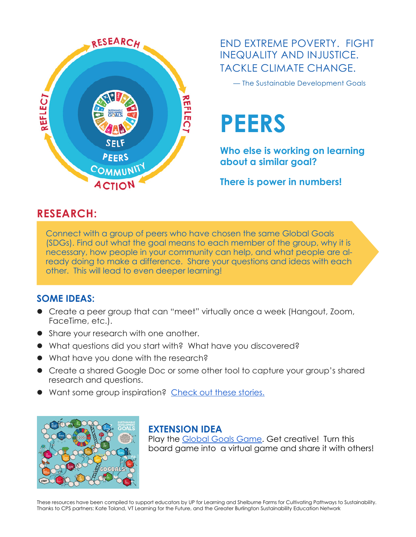

END EXTREME POVERTY. FIGHT INEQUALITY AND INJUSTICE. TACKLE CLIMATE CHANGE.

— The Sustainable Development Goals

## **PEERS**

**Who else is working on learning about a similar goal?** 

**There is power in numbers!**

## **RESEARCH:**

Connect with a group of peers who have chosen the same Global Goals (SDGs). Find out what the goal means to each member of the group, why it is necessary, how people in your community can help, and what people are already doing to make a difference. Share your questions and ideas with each other. This will lead to even deeper learning!

#### **SOME IDEAS:**

- Create a peer group that can "meet" virtually once a week (Hangout, Zoom, FaceTime, etc.).
- Share your research with one another.
- What questions did you start with? What have you discovered?
- What have you done with the research?
- Create a shared Google Doc or some other tool to capture your group's shared research and questions.
- Want some group inspiration? [Check out these stories.](https://www.globalgoals.org/news/youth-power-panel)



## **EXTENSION IDEA**

Play the [Global Goals Game](https://go-goals.org/). Get creative! Turn this board game into a virtual game and share it with others!

These resources have been compiled to support educators by UP for Learning and Shelburne Farms for Cultivating Pathways to Sustainability. Thanks to CPS partners: Kate Toland, VT Learning for the Future, and the Greater Burlington Sustainability Education Network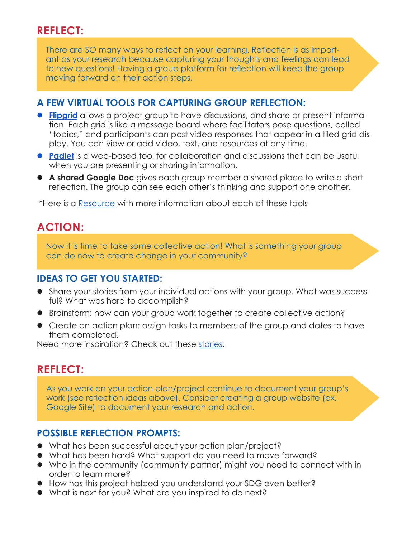There are SO many ways to reflect on your learning. Reflection is as important as your research because capturing your thoughts and feelings can lead to new questions! Having a group platform for reflection will keep the group moving forward on their action steps.

#### **A FEW VIRTUAL TOOLS FOR CAPTURING GROUP REFLECTION:**

- **[Flipgrid](https://flipgrid.com/)** allows a project group to have discussions, and share or present information. Each grid is like a message board where facilitators pose questions, called "topics," and participants can post video responses that appear in a tiled grid display. You can view or add video, text, and resources at any time.
- **[Padlet](https://padlet.com/)** is a web-based tool for collaboration and discussions that can be useful when you are presenting or sharing information.
- **A shared Google Doc** gives each group member a shared place to write a short reflection. The group can see each other's thinking and support one another.

\*Here is a [Resource](https://drive.google.com/file/d/1eS3ncGLo6ef7dWmW4tbEGZxiLBgu_zuN/view?usp=sharing) with more information about each of these tools

## **ACTION:**

Now it is time to take some collective action! What is something your group can do now to create change in your community?

#### **IDEAS TO GET YOU STARTED:**

- Share your stories from your individual actions with your group. What was successful? What was hard to accomplish?
- Brainstorm: how can your group work together to create collective action?
- Create an action plan: assign tasks to members of the group and dates to have them completed.

Need more inspiration? Check out these [stories](https://www.un.org/africarenewal/web-features/coronavirus/meet-10-young-people-leading-covid-19-response-their-communities).

## **REFLECT:**

As you work on your action plan/project continue to document your group's work (see reflection ideas above). Consider creating a group website (ex. Google Site) to document your research and action.

## **POSSIBLE REFLECTION PROMPTS:**

- What has been successful about your action plan/project?
- What has been hard? What support do you need to move forward?
- Who in the community (community partner) might you need to connect with in order to learn more?
- $\bullet$  How has this project helped you understand your SDG even better?
- What is next for you? What are you inspired to do next?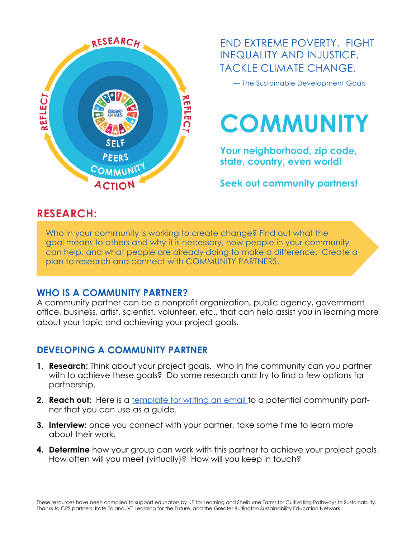

END EXTREME POVERTY. FIGHT INEQUALITY AND INJUSTICE. TACKLE CLIMATE CHANGE.

— The Sustainable Development Goals



**Your neighborhood, zip code, state, country, even world!** 

**Seek out community partners!**

## **RESEARCH:**

Who in your community is working to create change? Find out what the goal means to others and why it is necessary, how people in your community can help, and what people are already doing to make a difference. Create a plan to research and connect with COMMUNITY PARTNERS.

#### **WHO IS A COMMUNITY PARTNER?**

A community partner can be a nonprofit organization, public agency, government office, business, artist, scientist, volunteer, etc., that can help assist you in learning more about your topic and achieving your project goals.

## **DEVELOPING A COMMUNITY PARTNER**

- **1. Research:** Think about your project goals. Who in the community can you partner with to achieve these goals? Do some research and try to find a few options for partnership.
- **2. Reach out:** Here is a [template for writing an email t](https://drive.google.com/file/d/0B-QT_agLnndlWFpyMlJ2Z1RId00/view?usp=sharing)o a potential community partner that you can use as a guide.
- **3. Interview:** once you connect with your partner, take some time to learn more about their work.
- **4. Determine** how your group can work with this partner to achieve your project goals. How often will you meet (virtually)? How will you keep in touch?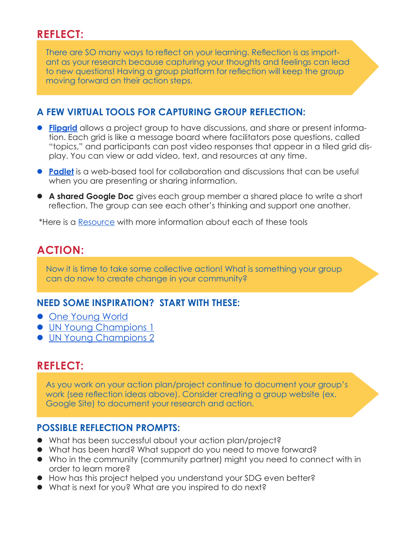There are SO many ways to reflect on your learning. Reflection is as important as your research because capturing your thoughts and feelings can lead to new questions! Having a group platform for reflection will keep the group moving forward on their action steps.

#### **A FEW VIRTUAL TOOLS FOR CAPTURING GROUP REFLECTION:**

- **[Flipgrid](https://flipgrid.com/)** allows a project group to have discussions, and share or present information. Each grid is like a message board where facilitators pose questions, called "topics," and participants can post video responses that appear in a tiled grid display. You can view or add video, text, and resources at any time.
- **[Padlet](https://padlet.com/)** is a web-based tool for collaboration and discussions that can be useful when you are presenting or sharing information.
- **A shared Google Doc** gives each group member a shared place to write a short reflection. The group can see each other's thinking and support one another.

\*Here is a [Resource](https://drive.google.com/file/d/1eS3ncGLo6ef7dWmW4tbEGZxiLBgu_zuN/view?usp=sharing) with more information about each of these tools

## **ACTION:**

Now it is time to take some collective action! What is something your group can do now to create change in your community?

## **NEED SOME INSPIRATION? START WITH THESE:**

- [One Young World](https://www.oneyoungworld.com/)
- **[UN Young Champions 1](https://www.unenvironment.org/youngchampions/news/story/technology-can-help-track-choices-balance-nutrition-and-climate-impact)**
- **[UN Young Champions 2](https://www.unenvironment.org/youngchampions/news/story/making-impossible-possible)**

## **REFLECT:**

As you work on your action plan/project continue to document your group's work (see reflection ideas above). Consider creating a group website (ex. Google Site) to document your research and action.

#### **POSSIBLE REFLECTION PROMPTS:**

- What has been successful about your action plan/project?
- What has been hard? What support do you need to move forward?
- Who in the community (community partner) might you need to connect with in order to learn more?
- $\bullet$  How has this project helped you understand your SDG even better?
- What is next for you? What are you inspired to do next?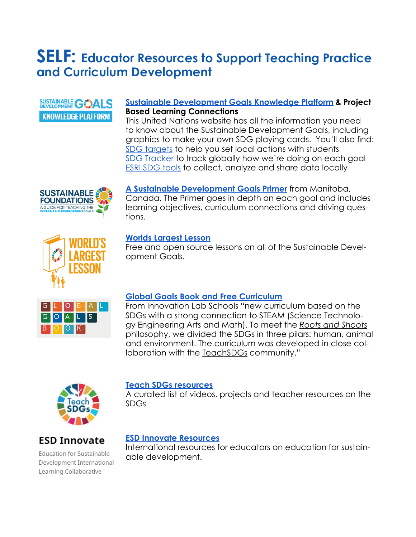## **SELF: Educator Resources to Support Teaching Practice and Curriculum Development**

## SUSTAINABLE **GOALS KNOWLEDGE PLATFORM**

#### **[Sustainable Development Goals Knowledge Platform](https://sustainabledevelopment.un.org/?menu=1300) & Project Based Learning Connections**

This United Nations website has all the information you need to know about the Sustainable Development Goals, including graphics to make your own SDG playing cards. You'll also find: [SDG targets](https://sustainabledevelopment.un.org/topics/sustainabledevelopmentgoals) to help you set local actions with students [SDG Tracker](https://sustainabledevelopment.un.org/topics/sustainabledevelopmentgoals) to track globally how we're doing on each goal [ESRI SDG tools](https://www.esri.com/en-us/solutions/industries/sustainability/sustainable-development/goals) to collect, analyze and share data locally



**[A Sustainable Development Goals Primer](http://mcic.ca/pdf/SDG_Primer_FINAL.pdf)** from Manitoba, Canada. The Primer goes in depth on each goal and includes learning objectives, curriculum connections and driving questions.



#### **[Worlds Largest Lesson](https://worldslargestlesson.globalgoals.org/all-lesson-plans/)**

Free and open source lessons on all of the Sustainable Development Goals.



#### **[Global Goals Book and Free Curriculum](https://innovationlabschools.com/book)**

From Innovation Lab Schools "new curriculum based on the SDGs with a strong connection to STEAM (Science Technology Engineering Arts and Math). To meet the *[Roots and Shoots](https://www.rootsandshoots.org/)* philosophy, we divided the SDGs in three pilars: human, animal and environment. The curriculum was developed in close col-laboration with the [TeachSDGs](http://www.teachsdgs.org/) community."



#### **[Teach SDGs resources](http://www.teachsdgs.org/resources.html)**

A curated list of videos, projects and teacher resources on the SDGs

## **ESD Innovate**

Education for Sustainable Development International Learning Collaborative

#### **[ESD Innovate Resources](https://esdinnovate.org/cms/resources/)**

International resources for educators on education for sustainable development.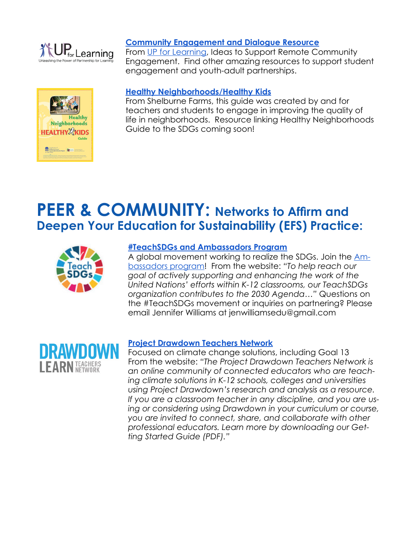

#### **[Community Engagement and Dialogue Resource](https://drive.google.com/file/d/1eS3ncGLo6ef7dWmW4tbEGZxiLBgu_zuN/view?usp=sharing)**

From [UP for Learning,](https://www.upforlearning.org/) Ideas to Support Remote Community Engagement. Find other amazing resources to support student engagement and youth-adult partnerships.



#### **[Healthy Neighborhoods/Healthy Kids](http://sustainableschoolsproject.org/tools-resources/hnhk)**

From Shelburne Farms, this guide was created by and for teachers and students to engage in improving the quality of life in neighborhoods. Resource linking Healthy Neighborhoods Guide to the SDGs coming soon!

## **PEER & COMMUNITY: Networks to Affirm and Deepen Your Education for Sustainability (EFS) Practice:**



#### **[#TeachSDGs and Ambassadors Program](http://www.teachsdgs.org/)**

A global movement working to realize the SDGs. Join the [Am](http://www.teachsdgs.org/about.html)[bassadors program](http://www.teachsdgs.org/about.html)! From the website: *"To help reach our goal of actively supporting and enhancing the work of the United Nations' efforts within K-12 classrooms, our TeachSDGs organization contributes to the 2030 Agenda…"* Questions on the #TeachSDGs movement or inquiries on partnering? Please email Jennifer Williams at jenwilliamsedu@gmail.com



#### **[Project Drawdown Teachers Network](https://drawdown.org/programs/drawdown-learn)**

Focused on climate change solutions, including Goal 13 From the website: *"The Project Drawdown Teachers Network is an online community of connected educators who are teaching climate solutions in K-12 schools, colleges and universities using Project Drawdown's research and analysis as a resource. If you are a classroom teacher in any discipline, and you are using or considering using Drawdown in your curriculum or course, you are invited to connect, share, and collaborate with other professional educators. Learn more by downloading our Getting Started Guide (PDF)."*